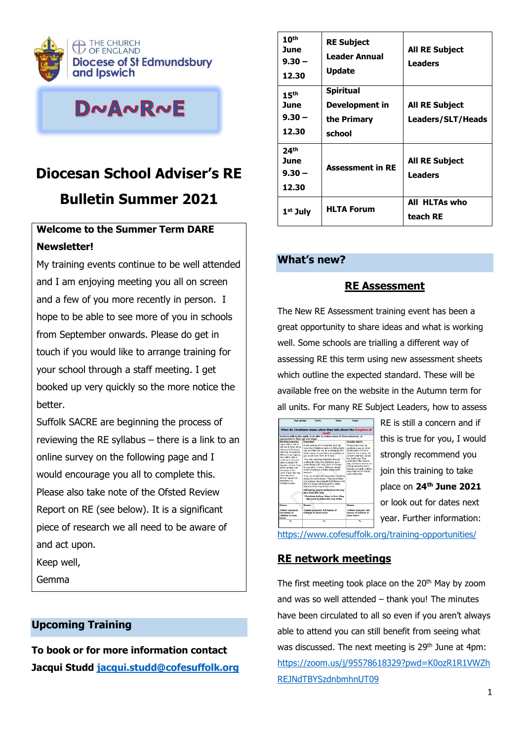

# DNANRNE

# **Diocesan School Adviser's RE Bulletin Summer 2021**

## **Welcome to the Summer Term DARE Newsletter!**

My training events continue to be well attended and I am enjoying meeting you all on screen and a few of you more recently in person. I hope to be able to see more of you in schools from September onwards. Please do get in touch if you would like to arrange training for your school through a staff meeting. I get booked up very quickly so the more notice the better.

Suffolk SACRE are beginning the process of reviewing the RE syllabus  $-$  there is a link to an online survey on the following page and I would encourage you all to complete this. Please also take note of the Ofsted Review Report on RE (see below). It is a significant piece of research we all need to be aware of and act upon.

Keep well,

Gemma

## **Upcoming Training**

**To book or for more information contact Jacqui Studd [jacqui.studd@cofesuffolk.org](mailto:jacqui.studd@cofesuffolk.org)**

| 10 <sup>th</sup><br>June<br>$9.30 -$<br>12.30 | <b>RE Subject</b><br><b>Leader Annual</b><br><b>Update</b>  | <b>All RE Subject</b><br><b>Leaders</b>           |
|-----------------------------------------------|-------------------------------------------------------------|---------------------------------------------------|
| 15 <sup>th</sup><br>June<br>$9.30 -$<br>12.30 | <b>Spiritual</b><br>Development in<br>the Primary<br>school | <b>All RE Subject</b><br><b>Leaders/SLT/Heads</b> |
| 24 <sup>th</sup><br>June<br>$9.30 -$<br>12.30 | <b>Assessment in RE</b>                                     | <b>All RE Subject</b><br><b>Leaders</b>           |
| 1 <sup>st</sup> July                          | <b>HLTA Forum</b>                                           | All HLTAs who<br>teach RE                         |

### **What's new?**

### **RE Assessment**

The New RE Assessment training event has been a great opportunity to share ideas and what is working well. Some schools are trialling a different way of assessing RE this term using new assessment sheets which outline the expected standard. These will be available free on the website in the Autumn term for all units. For many RE Subject Leaders, how to assess

| What do Christians mean when they talk about the Kingdom of<br>God?                                                                                                                                                                                                                                                                                                                 |                                                                                                                                                                                                                                                                                                                                                                                                                                                                                                                                                                                                                                                                                  |                                                                                                                                                                                                                                                                                                                              |  |  |
|-------------------------------------------------------------------------------------------------------------------------------------------------------------------------------------------------------------------------------------------------------------------------------------------------------------------------------------------------------------------------------------|----------------------------------------------------------------------------------------------------------------------------------------------------------------------------------------------------------------------------------------------------------------------------------------------------------------------------------------------------------------------------------------------------------------------------------------------------------------------------------------------------------------------------------------------------------------------------------------------------------------------------------------------------------------------------------|------------------------------------------------------------------------------------------------------------------------------------------------------------------------------------------------------------------------------------------------------------------------------------------------------------------------------|--|--|
| Teachers will enable pupils to be able to achieve some of these outcomes, as<br>appropriate to their age and stage:                                                                                                                                                                                                                                                                 |                                                                                                                                                                                                                                                                                                                                                                                                                                                                                                                                                                                                                                                                                  |                                                                                                                                                                                                                                                                                                                              |  |  |
| Working towards:                                                                                                                                                                                                                                                                                                                                                                    | <b>Expected:</b>                                                                                                                                                                                                                                                                                                                                                                                                                                                                                                                                                                                                                                                                 | <b>Greater depth:</b>                                                                                                                                                                                                                                                                                                        |  |  |
| Punis will be able to<br>talk about Tesus being<br>a King and Christians<br>following his example.<br>With some prompting.<br>they will be able to<br>recall some of bears'.<br>teaching about the<br>Kinsplays of God. They<br>will be familiar with<br>the words of the<br>Lond's Prayer but may<br>and condenstanci<br>without susport its<br>importance to<br>Christians today. | Public vecking at an expected level will<br>know that Christians helieve in Bring God's<br>way and that this can be summed up with<br>Jesus saving 'in everything do to others as<br>you would have them do to you."<br>They will understand that it is through<br>reading the Bible that Christians learn<br>about living God's way, such as through<br>the narables of Jesus, They are able to<br>recall at least one parable about God's<br>idnodom,<br>They can extend their knowledge to talking<br>about the Lord's prayer. They understand<br>it is a prayer Jesus taught his followers and<br>that it is important because it is about<br>wanting God's kingdom to come. | These pupils have an<br>excellent ocaso on what<br>the Kingdom of God is.<br>That it is not a place, but<br>present whenever people.<br>live God's way. They<br>understand the reasons<br>why Christians want to be<br>part of roreading God's<br>kinndom on earth and the<br>Important role of chartty<br>work within this. |  |  |
|                                                                                                                                                                                                                                                                                                                                                                                     | Ultimately, pupils understand the key<br>idea from this unit:                                                                                                                                                                                                                                                                                                                                                                                                                                                                                                                                                                                                                    |                                                                                                                                                                                                                                                                                                                              |  |  |
|                                                                                                                                                                                                                                                                                                                                                                                     | Christians believe Jesus is their King<br>and want to follow his way of life.                                                                                                                                                                                                                                                                                                                                                                                                                                                                                                                                                                                                    |                                                                                                                                                                                                                                                                                                                              |  |  |
| <b>Nonvon</b>                                                                                                                                                                                                                                                                                                                                                                       | <b>Nonver</b>                                                                                                                                                                                                                                                                                                                                                                                                                                                                                                                                                                                                                                                                    | Norwan                                                                                                                                                                                                                                                                                                                       |  |  |
| cwhen assessed.<br>list names of<br>children in class<br>horas                                                                                                                                                                                                                                                                                                                      | <when assessed.="" list="" names="" of<br="">children in class here&gt;</when>                                                                                                                                                                                                                                                                                                                                                                                                                                                                                                                                                                                                   | <when assessed,="" list<br="">names of children in<br/>class here&gt;</when>                                                                                                                                                                                                                                                 |  |  |
| 561                                                                                                                                                                                                                                                                                                                                                                                 | <b>Tour</b>                                                                                                                                                                                                                                                                                                                                                                                                                                                                                                                                                                                                                                                                      | τ.                                                                                                                                                                                                                                                                                                                           |  |  |

RE is still a concern and if this is true for you, I would strongly recommend you join this training to take place on **24th June 2021** or look out for dates next year. Further information:

<https://www.cofesuffolk.org/training-opportunities/>

## **RE network meetings**

The first meeting took place on the 20<sup>th</sup> May by zoom and was so well attended – thank you! The minutes have been circulated to all so even if you aren't always able to attend you can still benefit from seeing what was discussed. The next meeting is 29<sup>th</sup> June at 4pm: [https://zoom.us/j/95578618329?pwd=K0ozR1R1VWZh](https://zoom.us/j/95578618329?pwd=K0ozR1R1VWZhREJNdTBYSzdnbmhnUT09) [REJNdTBYSzdnbmhnUT09](https://zoom.us/j/95578618329?pwd=K0ozR1R1VWZhREJNdTBYSzdnbmhnUT09)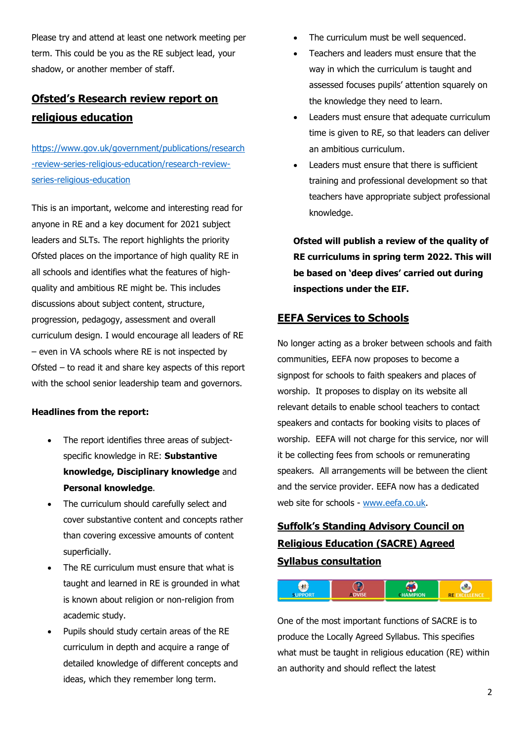Please try and attend at least one network meeting per term. This could be you as the RE subject lead, your shadow, or another member of staff.

## **Ofsted's Research review report on religious education**

[https://www.gov.uk/government/publications/research](https://www.gov.uk/government/publications/research-review-series-religious-education/research-review-series-religious-education) [-review-series-religious-education/research-review](https://www.gov.uk/government/publications/research-review-series-religious-education/research-review-series-religious-education)[series-religious-education](https://www.gov.uk/government/publications/research-review-series-religious-education/research-review-series-religious-education)

This is an important, welcome and interesting read for anyone in RE and a key document for 2021 subject leaders and SLTs. The report highlights the priority Ofsted places on the importance of high quality RE in all schools and identifies what the features of highquality and ambitious RE might be. This includes discussions about subject content, structure, progression, pedagogy, assessment and overall curriculum design. I would encourage all leaders of RE – even in VA schools where RE is not inspected by Ofsted – to read it and share key aspects of this report with the school senior leadership team and governors.

#### **Headlines from the report:**

- The report identifies three areas of subjectspecific knowledge in RE: **Substantive knowledge, Disciplinary knowledge** and **Personal knowledge**.
- The curriculum should carefully select and cover substantive content and concepts rather than covering excessive amounts of content superficially.
- The RE curriculum must ensure that what is taught and learned in RE is grounded in what is known about religion or non-religion from academic study.
- Pupils should study certain areas of the RE curriculum in depth and acquire a range of detailed knowledge of different concepts and ideas, which they remember long term.
- The curriculum must be well sequenced.
- Teachers and leaders must ensure that the way in which the curriculum is taught and assessed focuses pupils' attention squarely on the knowledge they need to learn.
- Leaders must ensure that adequate curriculum time is given to RE, so that leaders can deliver an ambitious curriculum.
- Leaders must ensure that there is sufficient training and professional development so that teachers have appropriate subject professional knowledge.

**Ofsted will publish a review of the quality of RE curriculums in spring term 2022. This will be based on 'deep dives' carried out during inspections under the EIF.**

#### **EEFA Services to Schools**

No longer acting as a broker between schools and faith communities, EEFA now proposes to become a signpost for schools to faith speakers and places of worship. It proposes to display on its website all relevant details to enable school teachers to contact speakers and contacts for booking visits to places of worship. EEFA will not charge for this service, nor will it be collecting fees from schools or remunerating speakers. All arrangements will be between the client and the service provider. EEFA now has a dedicated web site for schools - [www.eefa.co.uk.](https://eur02.safelinks.protection.outlook.com/?url=http%3A%2F%2Fwww.eefa.co.uk%2F&data=04%7C01%7Cgemma.kingston%40cofesuffolk.org%7Cf6047d9cb4524d3cec7608d8e22e2940%7C64990a9c67994442988fcb8b9e9dbb7f%7C0%7C0%7C637508035171787154%7CUnknown%7CTWFpbGZsb3d8eyJWIjoiMC4wLjAwMDAiLCJQIjoiV2luMzIiLCJBTiI6Ik1haWwiLCJXVCI6Mn0%3D%7C1000&sdata=F008k%2FlsimchhuNQkqRdsN1A8yTP5q%2BCIMgca2YvjYA%3D&reserved=0)

## **Suffolk's Standing Advisory Council on Religious Education (SACRE) Agreed Syllabus consultation**



One of the most important functions of SACRE is to produce the Locally Agreed Syllabus. This specifies what must be taught in religious education (RE) within an authority and should reflect the latest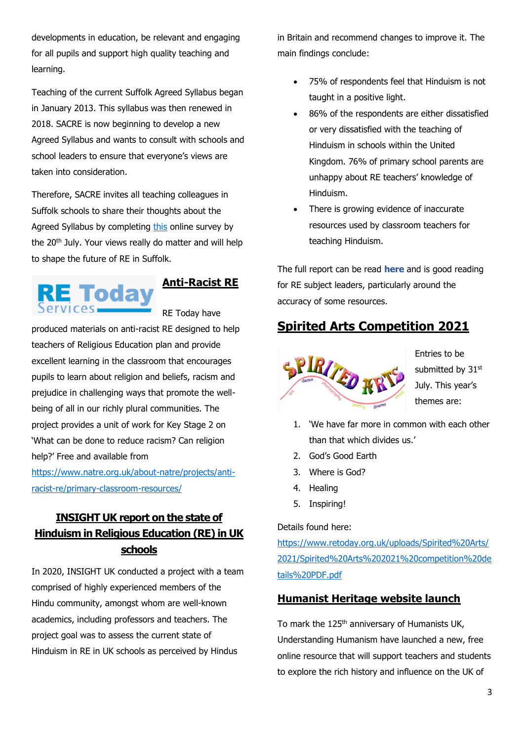developments in education, be relevant and engaging for all pupils and support high quality teaching and learning.

Teaching of the current Suffolk Agreed Syllabus began in January 2013. This syllabus was then renewed in 2018. SACRE is now beginning to develop a new Agreed Syllabus and wants to consult with schools and school leaders to ensure that everyone's views are taken into consideration.

Therefore, SACRE invites all teaching colleagues in Suffolk schools to share their thoughts about the Agreed Syllabus by completing [this](https://forms.office.com/Pages/ResponsePage.aspx?id=7GqcEEZQlUqPPIT2O6GK9LTjh4ub20tLmidJ9bjuotpUNE9DMlU1UVlFMExQSTgwN0pUMDk0WjhYWi4u&wdLOR=c9A512D8A-89ED-4E71-B2AA-DA56F8C9B68C) online survey by the 20th July. Your views really do matter and will help to shape the future of RE in Suffolk.



**Anti-Racist RE**

RE Today have

produced materials on anti-racist RE designed to help teachers of Religious Education plan and provide excellent learning in the classroom that encourages pupils to learn about religion and beliefs, racism and prejudice in challenging ways that promote the wellbeing of all in our richly plural communities. The project provides a unit of work for Key Stage 2 on 'What can be done to reduce racism? Can religion help?' Free and available from

[https://www.natre.org.uk/about-natre/projects/anti](https://www.natre.org.uk/about-natre/projects/anti-racist-re/primary-classroom-resources/)[racist-re/primary-classroom-resources/](https://www.natre.org.uk/about-natre/projects/anti-racist-re/primary-classroom-resources/)

## **INSIGHT UK report on the state of Hinduism in Religious Education (RE) in UK schools**

In 2020, INSIGHT UK conducted a project with a team comprised of highly experienced members of the Hindu community, amongst whom are well-known academics, including professors and teachers. The project goal was to assess the current state of Hinduism in RE in UK schools as perceived by Hindus

in Britain and recommend changes to improve it. The main findings conclude:

- 75% of respondents feel that Hinduism is not taught in a positive light.
- 86% of the respondents are either dissatisfied or very dissatisfied with the teaching of Hinduism in schools within the United Kingdom. 76% of primary school parents are unhappy about RE teachers' knowledge of Hinduism.
- There is growing evidence of inaccurate resources used by classroom teachers for teaching Hinduism.

The full report can be read **[here](https://eur02.safelinks.protection.outlook.com/?url=https%3A%2F%2Fnasacre.us6.list-manage.com%2Ftrack%2Fclick%3Fu%3Db1bda1b734%26id%3Da274c19fdb%26e%3Dad61981515&data=04%7C01%7Cgemma.kingston%40cofesuffolk.org%7C85ab4a874c1748dc719c08d8e9e8c296%7C64990a9c67994442988fcb8b9e9dbb7f%7C0%7C0%7C637516533217263547%7CUnknown%7CTWFpbGZsb3d8eyJWIjoiMC4wLjAwMDAiLCJQIjoiV2luMzIiLCJBTiI6Ik1haWwiLCJXVCI6Mn0%3D%7C1000&sdata=%2BMuoG4fpckUhh1j2OnGWIJ18MLVMmaek%2F7659u1gmCc%3D&reserved=0)** and is good reading for RE subject leaders, particularly around the accuracy of some resources.

## **Spirited Arts Competition 2021**



Entries to be submitted by 31st July. This year's themes are:

- 1. 'We have far more in common with each other than that which divides us.'
- 2. God's Good Earth
- 3. Where is God?
- 4. Healing
- 5. Inspiring!

Details found here:

[https://www.retoday.org.uk/uploads/Spirited%20Arts/](https://www.retoday.org.uk/uploads/Spirited%20Arts/2021/Spirited%20Arts%202021%20competition%20details%20PDF.pdf) [2021/Spirited%20Arts%202021%20competition%20de](https://www.retoday.org.uk/uploads/Spirited%20Arts/2021/Spirited%20Arts%202021%20competition%20details%20PDF.pdf) [tails%20PDF.pdf](https://www.retoday.org.uk/uploads/Spirited%20Arts/2021/Spirited%20Arts%202021%20competition%20details%20PDF.pdf)

### **Humanist Heritage website launch**

To mark the 125<sup>th</sup> anniversary of Humanists UK, Understanding Humanism have launched a new, free online resource that will support teachers and students to explore the rich history and influence on the UK of